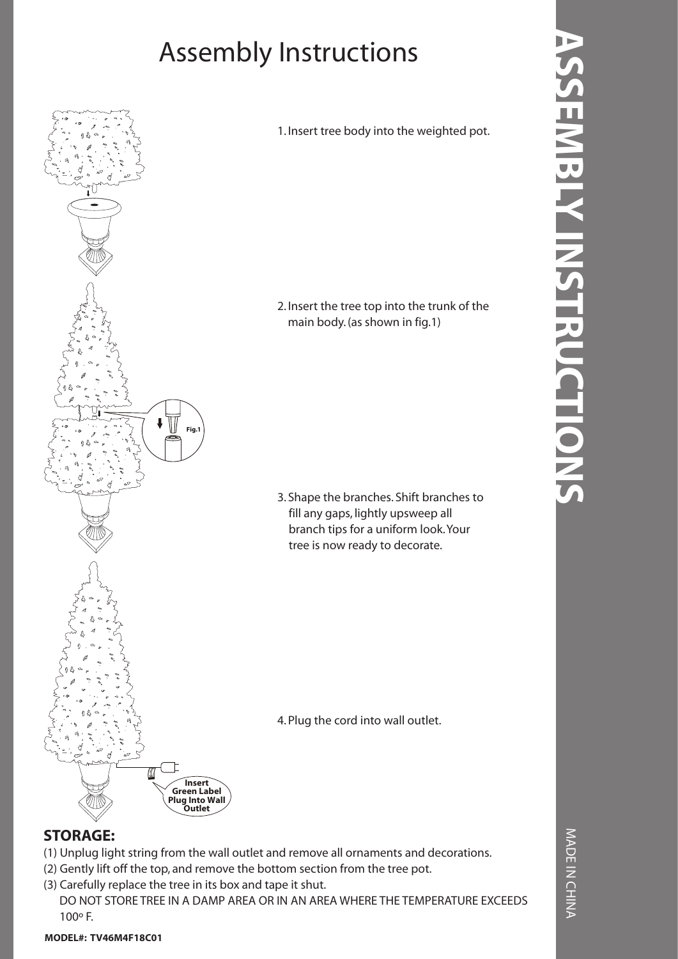## Assembly Instructions



1. Insert tree body into the weighted pot.

2. Insert the tree top into the trunk of the main body. (as shown in fig.1)

3. Shape the branches. Shift branches to fill any gaps, lightly upsweep all branch tips for a uniform look. Your tree is now ready to decorate.

4. Plug the cord into wall outlet.

- (1) Unplug light string from the wall outlet and remove all ornaments and decorations.
- (2) Gently lift off the top, and remove the bottom section from the tree pot.
- (3) Carefully replace the tree in its box and tape it shut.

 DO NOT STORE TREE IN A DAMP AREA OR IN AN AREA WHERE THE TEMPERATURE EXCEEDS 100º F.

MADE IN CHINA MADE IN CHINA

## **MODEL#: TV46M4F18C01**